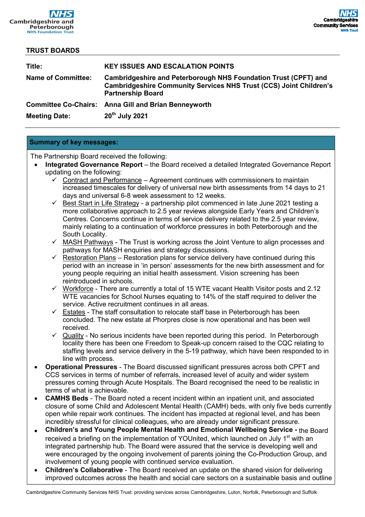

## **TRUST BOARDS**

| <b>KEY ISSUES AND ESCALATION POINTS</b>                                                                                                                                  |
|--------------------------------------------------------------------------------------------------------------------------------------------------------------------------|
| Cambridgeshire and Peterborough NHS Foundation Trust (CPFT) and<br><b>Cambridgeshire Community Services NHS Trust (CCS) Joint Children's</b><br><b>Partnership Board</b> |
| <b>Committee Co-Chairs: Anna Gill and Brian Benneyworth</b><br>20th July 2021                                                                                            |
|                                                                                                                                                                          |

## **Summary of key messages:**

The Partnership Board received the following:

- **Integrated Governance Report** the Board received a detailed Integrated Governance Report updating on the following:
	- $\checkmark$  Contract and Performance Agreement continues with commissioners to maintain increased timescales for delivery of universal new birth assessments from 14 days to 21 days and universal 6-8 week assessment to 12 weeks.
	- $\checkmark$  Best Start in Life Strategy a partnership pilot commenced in late June 2021 testing a more collaborative approach to 2.5 year reviews alongside Early Years and Children's Centres. Concerns continue in terms of service delivery related to the 2.5 year review, mainly relating to a continuation of workforce pressures in both Peterborough and the South Locality.
	- $\checkmark$  MASH Pathways The Trust is working across the Joint Venture to align processes and pathways for MASH enquiries and strategy discussions.
	- $\checkmark$  Restoration Plans Restoration plans for service delivery have continued during this period with an increase in 'in person' assessments for the new birth assessment and for young people requiring an initial health assessment. Vision screening has been reintroduced in schools.
	- $\checkmark$  Workforce There are currently a total of 15 WTE vacant Health Visitor posts and 2.12 WTE vacancies for School Nurses equating to 14% of the staff required to deliver the service. Active recruitment continues in all areas.
	- $\checkmark$  Estates The staff consultation to relocate staff base in Peterborough has been concluded. The new estate at Phorpres close is now operational and has been well received.
	- $\checkmark$  Quality No serious incidents have been reported during this period. In Peterborough locality there has been one Freedom to Speak-up concern raised to the CQC relating to staffing levels and service delivery in the 5-19 pathway, which have been responded to in line with process.
- **Operational Pressures** The Board discussed significant pressures across both CPFT and CCS services in terms of number of referrals, increased level of acuity and wider system pressures coming through Acute Hospitals. The Board recognised the need to be realistic in terms of what is achievable.
- **CAMHS Beds** The Board noted a recent incident within an inpatient unit, and associated closure of some Child and Adolescent Mental Health (CAMH) beds, with only five beds currently open while repair work continues. The incident has impacted at regional level, and has been incredibly stressful for clinical colleagues, who are already under significant pressure.
- **Children's and Young People Mental Health and Emotional Wellbeing Service -** the Board received a briefing on the implementation of YOUnited, which launched on July 1<sup>st</sup> with an integrated partnership hub. The Board were assured that the service is developing well and were encouraged by the ongoing involvement of parents joining the Co-Production Group, and involvement of young people with continued service evaluation.
- **Children's Collaborative** The Board received an update on the shared vision for delivering improved outcomes across the health and social care sectors on a sustainable basis and outline